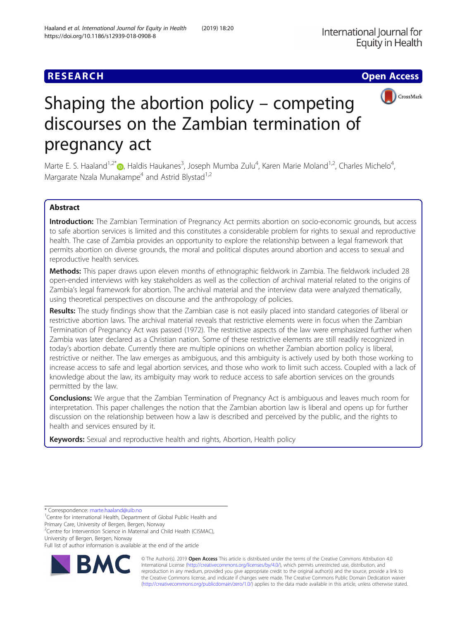# **RESEARCH CHE Open Access**



# Shaping the abortion policy – competing discourses on the Zambian termination of pregnancy act

Marte E. S. Haaland<sup>1[,](http://orcid.org/0000-0001-8253-2841)2\*</sup> (D, Haldis Haukanes<sup>3</sup>, Joseph Mumba Zulu<sup>4</sup>, Karen Marie Moland<sup>1,2</sup>, Charles Michelo<sup>4</sup> , Margarate Nzala Munakampe<sup>4</sup> and Astrid Blystad<sup>1,2</sup>

## Abstract

Introduction: The Zambian Termination of Pregnancy Act permits abortion on socio-economic grounds, but access to safe abortion services is limited and this constitutes a considerable problem for rights to sexual and reproductive health. The case of Zambia provides an opportunity to explore the relationship between a legal framework that permits abortion on diverse grounds, the moral and political disputes around abortion and access to sexual and reproductive health services.

Methods: This paper draws upon eleven months of ethnographic fieldwork in Zambia. The fieldwork included 28 open-ended interviews with key stakeholders as well as the collection of archival material related to the origins of Zambia's legal framework for abortion. The archival material and the interview data were analyzed thematically, using theoretical perspectives on discourse and the anthropology of policies.

Results: The study findings show that the Zambian case is not easily placed into standard categories of liberal or restrictive abortion laws. The archival material reveals that restrictive elements were in focus when the Zambian Termination of Pregnancy Act was passed (1972). The restrictive aspects of the law were emphasized further when Zambia was later declared as a Christian nation. Some of these restrictive elements are still readily recognized in today's abortion debate. Currently there are multiple opinions on whether Zambian abortion policy is liberal, restrictive or neither. The law emerges as ambiguous, and this ambiguity is actively used by both those working to increase access to safe and legal abortion services, and those who work to limit such access. Coupled with a lack of knowledge about the law, its ambiguity may work to reduce access to safe abortion services on the grounds permitted by the law.

**Conclusions:** We argue that the Zambian Termination of Pregnancy Act is ambiguous and leaves much room for interpretation. This paper challenges the notion that the Zambian abortion law is liberal and opens up for further discussion on the relationship between how a law is described and perceived by the public, and the rights to health and services ensured by it.

Keywords: Sexual and reproductive health and rights, Abortion, Health policy

<sup>2</sup> Centre for Intervention Science in Maternal and Child Health (CISMAC),

Full list of author information is available at the end of the article



© The Author(s). 2019 **Open Access** This article is distributed under the terms of the Creative Commons Attribution 4.0 International License [\(http://creativecommons.org/licenses/by/4.0/](http://creativecommons.org/licenses/by/4.0/)), which permits unrestricted use, distribution, and reproduction in any medium, provided you give appropriate credit to the original author(s) and the source, provide a link to the Creative Commons license, and indicate if changes were made. The Creative Commons Public Domain Dedication waiver [\(http://creativecommons.org/publicdomain/zero/1.0/](http://creativecommons.org/publicdomain/zero/1.0/)) applies to the data made available in this article, unless otherwise stated.

<sup>\*</sup> Correspondence: [marte.haaland@uib.no](mailto:marte.haaland@uib.no) <sup>1</sup>

<sup>&</sup>lt;sup>1</sup> Centre for international Health, Department of Global Public Health and Primary Care, University of Bergen, Bergen, Norway

University of Bergen, Bergen, Norway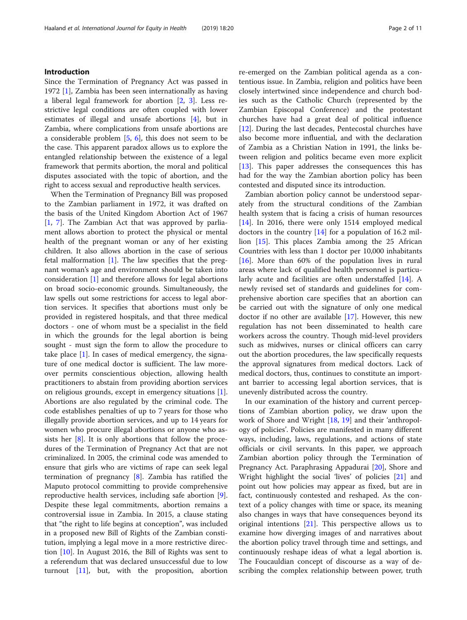### Introduction

Since the Termination of Pregnancy Act was passed in 1972 [[1](#page-9-0)], Zambia has been seen internationally as having a liberal legal framework for abortion [[2,](#page-9-0) [3\]](#page-9-0). Less restrictive legal conditions are often coupled with lower estimates of illegal and unsafe abortions [\[4](#page-9-0)], but in Zambia, where complications from unsafe abortions are a considerable problem [[5,](#page-9-0) [6\]](#page-9-0), this does not seem to be the case. This apparent paradox allows us to explore the entangled relationship between the existence of a legal framework that permits abortion, the moral and political disputes associated with the topic of abortion, and the right to access sexual and reproductive health services.

When the Termination of Pregnancy Bill was proposed to the Zambian parliament in 1972, it was drafted on the basis of the United Kingdom Abortion Act of 1967 [[1,](#page-9-0) [7](#page-9-0)]. The Zambian Act that was approved by parliament allows abortion to protect the physical or mental health of the pregnant woman or any of her existing children. It also allows abortion in the case of serious fetal malformation [\[1\]](#page-9-0). The law specifies that the pregnant woman's age and environment should be taken into consideration [\[1](#page-9-0)] and therefore allows for legal abortions on broad socio-economic grounds. Simultaneously, the law spells out some restrictions for access to legal abortion services. It specifies that abortions must only be provided in registered hospitals, and that three medical doctors - one of whom must be a specialist in the field in which the grounds for the legal abortion is being sought - must sign the form to allow the procedure to take place  $[1]$  $[1]$ . In cases of medical emergency, the signature of one medical doctor is sufficient. The law moreover permits conscientious objection, allowing health practitioners to abstain from providing abortion services on religious grounds, except in emergency situations [\[1](#page-9-0)]. Abortions are also regulated by the criminal code. The code establishes penalties of up to 7 years for those who illegally provide abortion services, and up to 14 years for women who procure illegal abortions or anyone who assists her [[8\]](#page-9-0). It is only abortions that follow the procedures of the Termination of Pregnancy Act that are not criminalized. In 2005, the criminal code was amended to ensure that girls who are victims of rape can seek legal termination of pregnancy  $[8]$  $[8]$ . Zambia has ratified the Maputo protocol committing to provide comprehensive reproductive health services, including safe abortion [\[9](#page-9-0)]. Despite these legal commitments, abortion remains a controversial issue in Zambia. In 2015, a clause stating that "the right to life begins at conception", was included in a proposed new Bill of Rights of the Zambian constitution, implying a legal move in a more restrictive direction [[10\]](#page-9-0). In August 2016, the Bill of Rights was sent to a referendum that was declared unsuccessful due to low turnout [\[11\]](#page-9-0), but, with the proposition, abortion re-emerged on the Zambian political agenda as a contentious issue. In Zambia, religion and politics have been closely intertwined since independence and church bodies such as the Catholic Church (represented by the Zambian Episcopal Conference) and the protestant churches have had a great deal of political influence [[12\]](#page-9-0). During the last decades, Pentecostal churches have also become more influential, and with the declaration of Zambia as a Christian Nation in 1991, the links between religion and politics became even more explicit [[13\]](#page-10-0). This paper addresses the consequences this has had for the way the Zambian abortion policy has been contested and disputed since its introduction.

Zambian abortion policy cannot be understood separately from the structural conditions of the Zambian health system that is facing a crisis of human resources [[14\]](#page-10-0). In 2016, there were only 1514 employed medical doctors in the country  $[14]$  $[14]$  for a population of 16.2 million [\[15](#page-10-0)]. This places Zambia among the 25 African Countries with less than 1 doctor per 10,000 inhabitants [[16\]](#page-10-0). More than 60% of the population lives in rural areas where lack of qualified health personnel is particu-larly acute and facilities are often understaffed [[14\]](#page-10-0). A newly revised set of standards and guidelines for comprehensive abortion care specifies that an abortion can be carried out with the signature of only one medical doctor if no other are available [\[17](#page-10-0)]. However, this new regulation has not been disseminated to health care workers across the country. Though mid-level providers such as midwives, nurses or clinical officers can carry out the abortion procedures, the law specifically requests the approval signatures from medical doctors. Lack of medical doctors, thus, continues to constitute an important barrier to accessing legal abortion services, that is unevenly distributed across the country.

In our examination of the history and current perceptions of Zambian abortion policy, we draw upon the work of Shore and Wright [[18,](#page-10-0) [19\]](#page-10-0) and their 'anthropology of policies'. Policies are manifested in many different ways, including, laws, regulations, and actions of state officials or civil servants. In this paper, we approach Zambian abortion policy through the Termination of Pregnancy Act. Paraphrasing Appadurai [[20](#page-10-0)], Shore and Wright highlight the social 'lives' of policies [\[21](#page-10-0)] and point out how policies may appear as fixed, but are in fact, continuously contested and reshaped. As the context of a policy changes with time or space, its meaning also changes in ways that have consequences beyond its original intentions  $[21]$  $[21]$ . This perspective allows us to examine how diverging images of and narratives about the abortion policy travel through time and settings, and continuously reshape ideas of what a legal abortion is. The Foucauldian concept of discourse as a way of describing the complex relationship between power, truth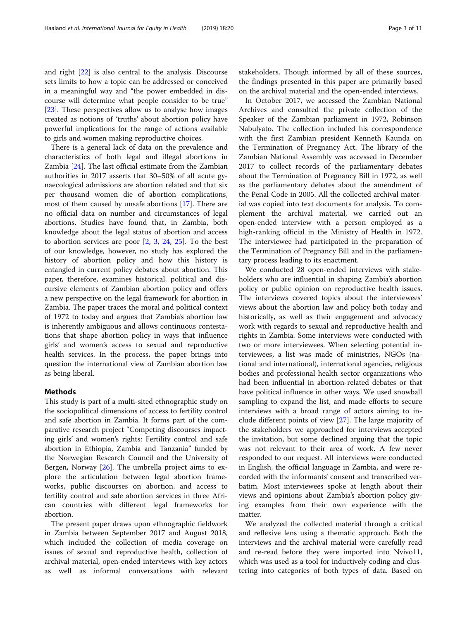and right [[22\]](#page-10-0) is also central to the analysis. Discourse sets limits to how a topic can be addressed or conceived in a meaningful way and "the power embedded in discourse will determine what people consider to be true" [[23\]](#page-10-0). These perspectives allow us to analyse how images created as notions of 'truths' about abortion policy have powerful implications for the range of actions available to girls and women making reproductive choices.

There is a general lack of data on the prevalence and characteristics of both legal and illegal abortions in Zambia [[24\]](#page-10-0). The last official estimate from the Zambian authorities in 2017 asserts that 30–50% of all acute gynaecological admissions are abortion related and that six per thousand women die of abortion complications, most of them caused by unsafe abortions [\[17](#page-10-0)]. There are no official data on number and circumstances of legal abortions. Studies have found that, in Zambia, both knowledge about the legal status of abortion and access to abortion services are poor [\[2](#page-9-0), [3](#page-9-0), [24,](#page-10-0) [25\]](#page-10-0). To the best of our knowledge, however, no study has explored the history of abortion policy and how this history is entangled in current policy debates about abortion. This paper, therefore, examines historical, political and discursive elements of Zambian abortion policy and offers a new perspective on the legal framework for abortion in Zambia. The paper traces the moral and political context of 1972 to today and argues that Zambia's abortion law is inherently ambiguous and allows continuous contestations that shape abortion policy in ways that influence girls' and women's access to sexual and reproductive health services. In the process, the paper brings into question the international view of Zambian abortion law as being liberal.

#### Methods

This study is part of a multi-sited ethnographic study on the sociopolitical dimensions of access to fertility control and safe abortion in Zambia. It forms part of the comparative research project "Competing discourses impacting girls' and women's rights: Fertility control and safe abortion in Ethiopia, Zambia and Tanzania" funded by the Norwegian Research Council and the University of Bergen, Norway [\[26](#page-10-0)]. The umbrella project aims to explore the articulation between legal abortion frameworks, public discourses on abortion, and access to fertility control and safe abortion services in three African countries with different legal frameworks for abortion.

The present paper draws upon ethnographic fieldwork in Zambia between September 2017 and August 2018, which included the collection of media coverage on issues of sexual and reproductive health, collection of archival material, open-ended interviews with key actors as well as informal conversations with relevant stakeholders. Though informed by all of these sources, the findings presented in this paper are primarily based on the archival material and the open-ended interviews.

In October 2017, we accessed the Zambian National Archives and consulted the private collection of the Speaker of the Zambian parliament in 1972, Robinson Nabulyato. The collection included his correspondence with the first Zambian president Kenneth Kaunda on the Termination of Pregnancy Act. The library of the Zambian National Assembly was accessed in December 2017 to collect records of the parliamentary debates about the Termination of Pregnancy Bill in 1972, as well as the parliamentary debates about the amendment of the Penal Code in 2005. All the collected archival material was copied into text documents for analysis. To complement the archival material, we carried out an open-ended interview with a person employed as a high-ranking official in the Ministry of Health in 1972. The interviewee had participated in the preparation of the Termination of Pregnancy Bill and in the parliamentary process leading to its enactment.

We conducted 28 open-ended interviews with stakeholders who are influential in shaping Zambia's abortion policy or public opinion on reproductive health issues. The interviews covered topics about the interviewees' views about the abortion law and policy both today and historically, as well as their engagement and advocacy work with regards to sexual and reproductive health and rights in Zambia. Some interviews were conducted with two or more interviewees. When selecting potential interviewees, a list was made of ministries, NGOs (national and international), international agencies, religious bodies and professional health sector organizations who had been influential in abortion-related debates or that have political influence in other ways. We used snowball sampling to expand the list, and made efforts to secure interviews with a broad range of actors aiming to include different points of view [[27](#page-10-0)]. The large majority of the stakeholders we approached for interviews accepted the invitation, but some declined arguing that the topic was not relevant to their area of work. A few never responded to our request. All interviews were conducted in English, the official language in Zambia, and were recorded with the informants' consent and transcribed verbatim. Most interviewees spoke at length about their views and opinions about Zambia's abortion policy giving examples from their own experience with the matter.

We analyzed the collected material through a critical and reflexive lens using a thematic approach. Both the interviews and the archival material were carefully read and re-read before they were imported into Nvivo11, which was used as a tool for inductively coding and clustering into categories of both types of data. Based on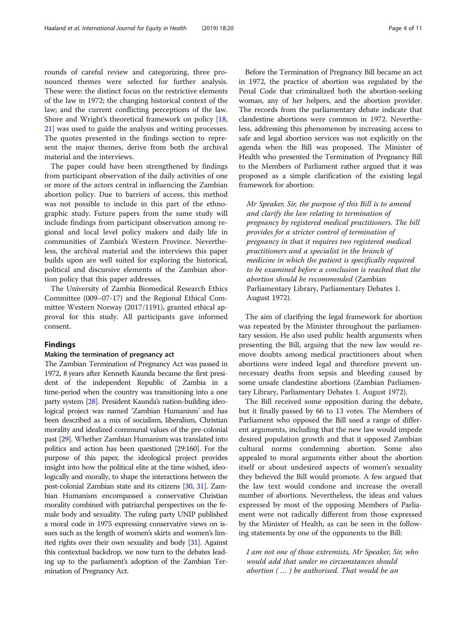rounds of careful review and categorizing, three pronounced themes were selected for further analysis. These were: the distinct focus on the restrictive elements of the law in 1972; the changing historical context of the law; and the current conflicting perceptions of the law. Shore and Wright's theoretical framework on policy [[18](#page-10-0), [21\]](#page-10-0) was used to guide the analysis and writing processes. The quotes presented in the findings section to represent the major themes, derive from both the archival material and the interviews.

The paper could have been strengthened by findings from participant observation of the daily activities of one or more of the actors central in influencing the Zambian abortion policy. Due to barriers of access, this method was not possible to include in this part of the ethnographic study. Future papers from the same study will include findings from participant observation among regional and local level policy makers and daily life in communities of Zambia's Western Province. Nevertheless, the archival material and the interviews this paper builds upon are well suited for exploring the historical, political and discursive elements of the Zambian abortion policy that this paper addresses.

The University of Zambia Biomedical Research Ethics Committee (009–07-17) and the Regional Ethical Committee Western Norway (2017/1191), granted ethical approval for this study. All participants gave informed consent.

#### Findings

#### Making the termination of pregnancy act

The Zambian Termination of Pregnancy Act was passed in 1972, 8 years after Kenneth Kaunda became the first president of the independent Republic of Zambia in a time-period when the country was transitioning into a one party system [\[28\]](#page-10-0). President Kaunda's nation-building ideological project was named 'Zambian Humanism' and has been described as a mix of socialism, liberalism, Christian morality and idealized communal values of the pre-colonial past [\[29\]](#page-10-0). Whether Zambian Humanism was translated into politics and action has been questioned [29:160]. For the purpose of this paper, the ideological project provides insight into how the political elite at the time wished, ideologically and morally, to shape the interactions between the post-colonial Zambian state and its citizens [\[30](#page-10-0), [31](#page-10-0)]. Zambian Humanism encompassed a conservative Christian morality combined with patriarchal perspectives on the female body and sexuality. The ruling party UNIP published a moral code in 1975 expressing conservative views on issues such as the length of women's skirts and women's limited rights over their own sexuality and body [\[31](#page-10-0)]. Against this contextual backdrop, we now turn to the debates leading up to the parliament's adoption of the Zambian Termination of Pregnancy Act.

Before the Termination of Pregnancy Bill became an act in 1972, the practice of abortion was regulated by the Penal Code that criminalized both the abortion-seeking woman, any of her helpers, and the abortion provider. The records from the parliamentary debate indicate that clandestine abortions were common in 1972. Nevertheless, addressing this phenomenon by increasing access to safe and legal abortion services was not explicitly on the agenda when the Bill was proposed. The Minister of Health who presented the Termination of Pregnancy Bill to the Members of Parliament rather argued that it was proposed as a simple clarification of the existing legal framework for abortion:

Mr Speaker, Sir, the purpose of this Bill is to amend and clarify the law relating to termination of pregnancy by registered medical practitioners. The bill provides for a stricter control of termination of pregnancy in that it requires two registered medical practitioners and a specialist in the branch of medicine in which the patient is specifically required to be examined before a conclusion is reached that the abortion should be recommended (Zambian Parliamentary Library, Parliamentary Debates 1. August 1972).

The aim of clarifying the legal framework for abortion was repeated by the Minister throughout the parliamentary session. He also used public health arguments when presenting the Bill, arguing that the new law would remove doubts among medical practitioners about when abortions were indeed legal and therefore prevent unnecessary deaths from sepsis and bleeding caused by some unsafe clandestine abortions (Zambian Parliamentary Library, Parliamentary Debates 1. August 1972).

The Bill received some opposition during the debate, but it finally passed by 66 to 13 votes. The Members of Parliament who opposed the Bill used a range of different arguments, including that the new law would impede desired population growth and that it opposed Zambian cultural norms condemning abortion. Some also appealed to moral arguments either about the abortion itself or about undesired aspects of women's sexuality they believed the Bill would promote. A few argued that the law text would condone and increase the overall number of abortions. Nevertheless, the ideas and values expressed by most of the opposing Members of Parliament were not radically different from those expressed by the Minister of Health, as can be seen in the following statements by one of the opponents to the Bill:

I am not one of those extremists, Mr Speaker, Sir, who would add that under no circumstances should abortion ( … ) be authorised. That would be an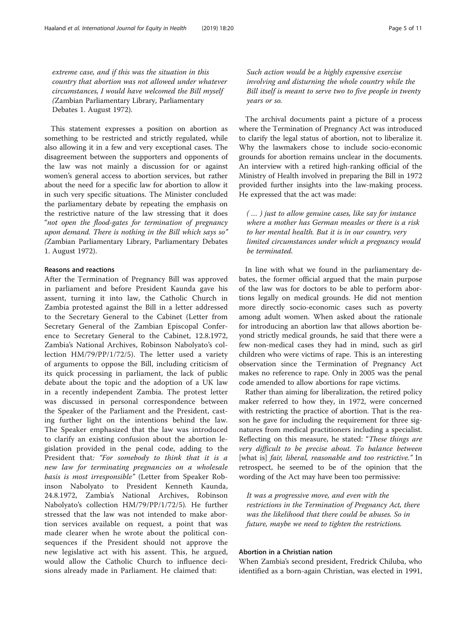extreme case, and if this was the situation in this country that abortion was not allowed under whatever circumstances, I would have welcomed the Bill myself (Zambian Parliamentary Library, Parliamentary Debates 1. August 1972).

This statement expresses a position on abortion as something to be restricted and strictly regulated, while also allowing it in a few and very exceptional cases. The disagreement between the supporters and opponents of the law was not mainly a discussion for or against women's general access to abortion services, but rather about the need for a specific law for abortion to allow it in such very specific situations. The Minister concluded the parliamentary debate by repeating the emphasis on the restrictive nature of the law stressing that it does "not open the flood-gates for termination of pregnancy upon demand. There is nothing in the Bill which says so" (Zambian Parliamentary Library, Parliamentary Debates 1. August 1972).

#### Reasons and reactions

After the Termination of Pregnancy Bill was approved in parliament and before President Kaunda gave his assent, turning it into law, the Catholic Church in Zambia protested against the Bill in a letter addressed to the Secretary General to the Cabinet (Letter from Secretary General of the Zambian Episcopal Conference to Secretary General to the Cabinet, 12.8.1972, Zambia's National Archives, Robinson Nabolyato's collection HM/79/PP/1/72/5). The letter used a variety of arguments to oppose the Bill, including criticism of its quick processing in parliament, the lack of public debate about the topic and the adoption of a UK law in a recently independent Zambia. The protest letter was discussed in personal correspondence between the Speaker of the Parliament and the President, casting further light on the intentions behind the law. The Speaker emphasized that the law was introduced to clarify an existing confusion about the abortion legislation provided in the penal code, adding to the President that: "For somebody to think that it is a new law for terminating pregnancies on a wholesale basis is most irresponsible" (Letter from Speaker Robinson Nabolyato to President Kenneth Kaunda, 24.8.1972, Zambia's National Archives, Robinson Nabolyato's collection HM/79/PP/1/72/5). He further stressed that the law was not intended to make abortion services available on request, a point that was made clearer when he wrote about the political consequences if the President should not approve the new legislative act with his assent. This, he argued, would allow the Catholic Church to influence decisions already made in Parliament. He claimed that:

Such action would be a highly expensive exercise involving and disturning the whole country while the Bill itself is meant to serve two to five people in twenty years or so.

The archival documents paint a picture of a process where the Termination of Pregnancy Act was introduced to clarify the legal status of abortion, not to liberalize it. Why the lawmakers chose to include socio-economic grounds for abortion remains unclear in the documents. An interview with a retired high-ranking official of the Ministry of Health involved in preparing the Bill in 1972 provided further insights into the law-making process. He expressed that the act was made:

( … ) just to allow genuine cases, like say for instance where a mother has German measles or there is a risk to her mental health. But it is in our country, very limited circumstances under which a pregnancy would be terminated.

In line with what we found in the parliamentary debates, the former official argued that the main purpose of the law was for doctors to be able to perform abortions legally on medical grounds. He did not mention more directly socio-economic cases such as poverty among adult women. When asked about the rationale for introducing an abortion law that allows abortion beyond strictly medical grounds, he said that there were a few non-medical cases they had in mind, such as girl children who were victims of rape. This is an interesting observation since the Termination of Pregnancy Act makes no reference to rape. Only in 2005 was the penal code amended to allow abortions for rape victims.

Rather than aiming for liberalization, the retired policy maker referred to how they, in 1972, were concerned with restricting the practice of abortion. That is the reason he gave for including the requirement for three signatures from medical practitioners including a specialist. Reflecting on this measure, he stated: "These things are very difficult to be precise about. To balance between [what is] fair, liberal, reasonable and too restrictive." In retrospect, he seemed to be of the opinion that the wording of the Act may have been too permissive:

It was a progressive move, and even with the restrictions in the Termination of Pregnancy Act, there was the likelihood that there could be abuses. So in future, maybe we need to tighten the restrictions.

#### Abortion in a Christian nation

When Zambia's second president, Fredrick Chiluba, who identified as a born-again Christian, was elected in 1991,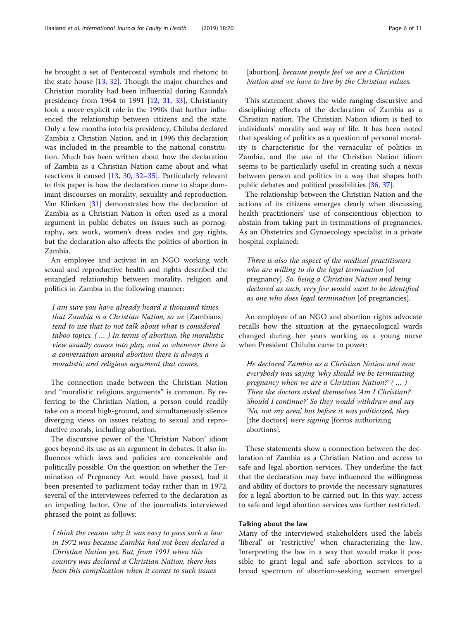he brought a set of Pentecostal symbols and rhetoric to the state house [[13,](#page-10-0) [32](#page-10-0)]. Though the major churches and Christian morality had been influential during Kaunda's presidency from 1964 to 1991 [\[12](#page-9-0), [31](#page-10-0), [33](#page-10-0)], Christianity took a more explicit role in the 1990s that further influenced the relationship between citizens and the state. Only a few months into his presidency, Chiluba declared Zambia a Christian Nation, and in 1996 this declaration was included in the preamble to the national constitution. Much has been written about how the declaration of Zambia as a Christian Nation came about and what reactions it caused [\[13](#page-10-0), [30,](#page-10-0) [32](#page-10-0)–[35](#page-10-0)]. Particularly relevant to this paper is how the declaration came to shape dominant discourses on morality, sexuality and reproduction. Van Klinken [[31](#page-10-0)] demonstrates how the declaration of Zambia as a Christian Nation is often used as a moral argument in public debates on issues such as pornography, sex work, women's dress codes and gay rights, but the declaration also affects the politics of abortion in Zambia.

An employee and activist in an NGO working with sexual and reproductive health and rights described the entangled relationship between morality, religion and politics in Zambia in the following manner:

I am sure you have already heard a thousand times that Zambia is a Christian Nation, so we [Zambians] tend to use that to not talk about what is considered taboo topics. ( … ) In terms of abortion, the moralistic view usually comes into play, and so whenever there is a conversation around abortion there is always a moralistic and religious argument that comes.

The connection made between the Christian Nation and "moralistic religious arguments" is common. By referring to the Christian Nation, a person could readily take on a moral high-ground, and simultaneously silence diverging views on issues relating to sexual and reproductive morals, including abortion.

The discursive power of the 'Christian Nation' idiom goes beyond its use as an argument in debates. It also influences which laws and policies are conceivable and politically possible. On the question on whether the Termination of Pregnancy Act would have passed, had it been presented to parliament today rather than in 1972, several of the interviewees referred to the declaration as an impeding factor. One of the journalists interviewed phrased the point as follows:

I think the reason why it was easy to pass such a law in 1972 was because Zambia had not been declared a Christian Nation yet. But, from 1991 when this country was declared a Christian Nation, there has been this complication when it comes to such issues

## [abortion], because people feel we are a Christian Nation and we have to live by the Christian values.

This statement shows the wide-ranging discursive and disciplining effects of the declaration of Zambia as a Christian nation. The Christian Nation idiom is tied to individuals' morality and way of life. It has been noted that speaking of politics as a question of personal morality is characteristic for the vernacular of politics in Zambia, and the use of the Christian Nation idiom seems to be particularly useful in creating such a nexus between person and politics in a way that shapes both public debates and political possibilities [[36,](#page-10-0) [37\]](#page-10-0).

The relationship between the Christian Nation and the actions of its citizens emerges clearly when discussing health practitioners' use of conscientious objection to abstain from taking part in terminations of pregnancies. As an Obstetrics and Gynaecology specialist in a private hospital explained:

There is also the aspect of the medical practitioners who are willing to do the legal termination [of pregnancy]. So, being a Christian Nation and being declared as such, very few would want to be identified as one who does legal termination [of pregnancies].

An employee of an NGO and abortion rights advocate recalls how the situation at the gynaecological wards changed during her years working as a young nurse when President Chiluba came to power:

He declared Zambia as a Christian Nation and now everybody was saying 'why should we be terminating pregnancy when we are a Christian Nation?' ( … ) Then the doctors asked themselves 'Am I Christian? Should I continue?' So they would withdraw and say 'No, not my area', but before it was politicized, they [the doctors] were signing [forms authorizing] abortions].

These statements show a connection between the declaration of Zambia as a Christian Nation and access to safe and legal abortion services. They underline the fact that the declaration may have influenced the willingness and ability of doctors to provide the necessary signatures for a legal abortion to be carried out. In this way, access to safe and legal abortion services was further restricted.

#### Talking about the law

Many of the interviewed stakeholders used the labels 'liberal' or 'restrictive' when characterizing the law. Interpreting the law in a way that would make it possible to grant legal and safe abortion services to a broad spectrum of abortion-seeking women emerged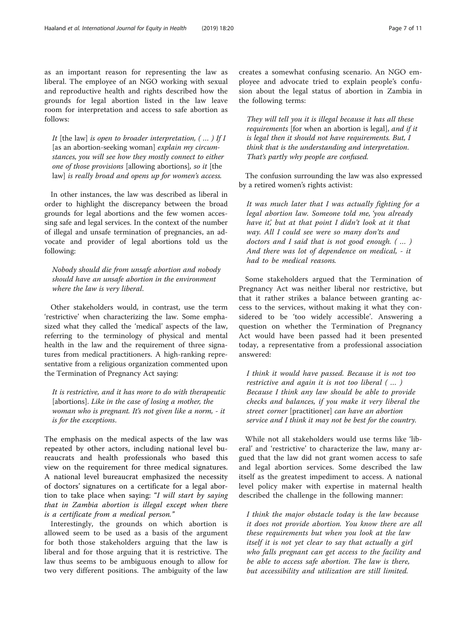as an important reason for representing the law as liberal. The employee of an NGO working with sexual and reproductive health and rights described how the grounds for legal abortion listed in the law leave room for interpretation and access to safe abortion as follows:

It [the law] is open to broader interpretation,  $(\,\ldots\,)$  If I [as an abortion-seeking woman] *explain my circum*stances, you will see how they mostly connect to either one of those provisions [allowing abortions], so it [the law] is really broad and opens up for women's access.

In other instances, the law was described as liberal in order to highlight the discrepancy between the broad grounds for legal abortions and the few women accessing safe and legal services. In the context of the number of illegal and unsafe termination of pregnancies, an advocate and provider of legal abortions told us the following:

Nobody should die from unsafe abortion and nobody should have an unsafe abortion in the environment where the law is very liberal.

Other stakeholders would, in contrast, use the term 'restrictive' when characterizing the law. Some emphasized what they called the 'medical' aspects of the law, referring to the terminology of physical and mental health in the law and the requirement of three signatures from medical practitioners. A high-ranking representative from a religious organization commented upon the Termination of Pregnancy Act saying:

It is restrictive, and it has more to do with therapeutic [abortions]. Like in the case of losing a mother, the woman who is pregnant. It's not given like a norm, - it is for the exceptions.

The emphasis on the medical aspects of the law was repeated by other actors, including national level bureaucrats and health professionals who based this view on the requirement for three medical signatures. A national level bureaucrat emphasized the necessity of doctors' signatures on a certificate for a legal abortion to take place when saying: "I will start by saying that in Zambia abortion is illegal except when there is a certificate from a medical person."

Interestingly, the grounds on which abortion is allowed seem to be used as a basis of the argument for both those stakeholders arguing that the law is liberal and for those arguing that it is restrictive. The law thus seems to be ambiguous enough to allow for two very different positions. The ambiguity of the law creates a somewhat confusing scenario. An NGO employee and advocate tried to explain people's confusion about the legal status of abortion in Zambia in the following terms:

They will tell you it is illegal because it has all these requirements [for when an abortion is legal], and if it is legal then it should not have requirements. But, I think that is the understanding and interpretation. That's partly why people are confused.

The confusion surrounding the law was also expressed by a retired women's rights activist:

It was much later that I was actually fighting for a legal abortion law. Someone told me, 'you already have it', but at that point I didn't look at it that way. All I could see were so many don'ts and doctors and I said that is not good enough. ( … ) And there was lot of dependence on medical, - it had to be medical reasons.

Some stakeholders argued that the Termination of Pregnancy Act was neither liberal nor restrictive, but that it rather strikes a balance between granting access to the services, without making it what they considered to be 'too widely accessible'. Answering a question on whether the Termination of Pregnancy Act would have been passed had it been presented today, a representative from a professional association answered:

I think it would have passed. Because it is not too restrictive and again it is not too liberal ( … ) Because I think any law should be able to provide checks and balances, if you make it very liberal the street corner [practitioner] can have an abortion service and I think it may not be best for the country.

While not all stakeholders would use terms like 'liberal' and 'restrictive' to characterize the law, many argued that the law did not grant women access to safe and legal abortion services. Some described the law itself as the greatest impediment to access. A national level policy maker with expertise in maternal health described the challenge in the following manner:

I think the major obstacle today is the law because it does not provide abortion. You know there are all these requirements but when you look at the law itself it is not yet clear to say that actually a girl who falls pregnant can get access to the facility and be able to access safe abortion. The law is there, but accessibility and utilization are still limited.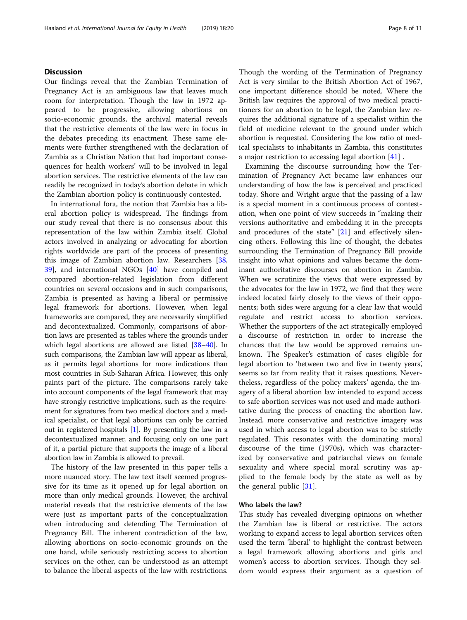### **Discussion**

Our findings reveal that the Zambian Termination of Pregnancy Act is an ambiguous law that leaves much room for interpretation. Though the law in 1972 appeared to be progressive, allowing abortions on socio-economic grounds, the archival material reveals that the restrictive elements of the law were in focus in the debates preceding its enactment. These same elements were further strengthened with the declaration of Zambia as a Christian Nation that had important consequences for health workers' will to be involved in legal abortion services. The restrictive elements of the law can readily be recognized in today's abortion debate in which the Zambian abortion policy is continuously contested.

In international fora, the notion that Zambia has a liberal abortion policy is widespread. The findings from our study reveal that there is no consensus about this representation of the law within Zambia itself. Global actors involved in analyzing or advocating for abortion rights worldwide are part of the process of presenting this image of Zambian abortion law. Researchers [[38](#page-10-0), [39\]](#page-10-0), and international NGOs [\[40\]](#page-10-0) have compiled and compared abortion-related legislation from different countries on several occasions and in such comparisons, Zambia is presented as having a liberal or permissive legal framework for abortions. However, when legal frameworks are compared, they are necessarily simplified and decontextualized. Commonly, comparisons of abortion laws are presented as tables where the grounds under which legal abortions are allowed are listed [\[38](#page-10-0)–[40](#page-10-0)]. In such comparisons, the Zambian law will appear as liberal, as it permits legal abortions for more indications than most countries in Sub-Saharan Africa. However, this only paints part of the picture. The comparisons rarely take into account components of the legal framework that may have strongly restrictive implications, such as the requirement for signatures from two medical doctors and a medical specialist, or that legal abortions can only be carried out in registered hospitals [\[1\]](#page-9-0). By presenting the law in a decontextualized manner, and focusing only on one part of it, a partial picture that supports the image of a liberal abortion law in Zambia is allowed to prevail.

The history of the law presented in this paper tells a more nuanced story. The law text itself seemed progressive for its time as it opened up for legal abortion on more than only medical grounds. However, the archival material reveals that the restrictive elements of the law were just as important parts of the conceptualization when introducing and defending The Termination of Pregnancy Bill. The inherent contradiction of the law, allowing abortions on socio-economic grounds on the one hand, while seriously restricting access to abortion services on the other, can be understood as an attempt to balance the liberal aspects of the law with restrictions. Though the wording of the Termination of Pregnancy Act is very similar to the British Abortion Act of 1967, one important difference should be noted. Where the British law requires the approval of two medical practitioners for an abortion to be legal, the Zambian law requires the additional signature of a specialist within the field of medicine relevant to the ground under which abortion is requested. Considering the low ratio of medical specialists to inhabitants in Zambia, this constitutes a major restriction to accessing legal abortion [[41\]](#page-10-0) .

Examining the discourse surrounding how the Termination of Pregnancy Act became law enhances our understanding of how the law is perceived and practiced today. Shore and Wright argue that the passing of a law is a special moment in a continuous process of contestation, when one point of view succeeds in "making their versions authoritative and embedding it in the precepts and procedures of the state" [\[21\]](#page-10-0) and effectively silencing others. Following this line of thought, the debates surrounding the Termination of Pregnancy Bill provide insight into what opinions and values became the dominant authoritative discourses on abortion in Zambia. When we scrutinize the views that were expressed by the advocates for the law in 1972, we find that they were indeed located fairly closely to the views of their opponents; both sides were arguing for a clear law that would regulate and restrict access to abortion services. Whether the supporters of the act strategically employed a discourse of restriction in order to increase the chances that the law would be approved remains unknown. The Speaker's estimation of cases eligible for legal abortion to 'between two and five in twenty years', seems so far from reality that it raises questions. Nevertheless, regardless of the policy makers' agenda, the imagery of a liberal abortion law intended to expand access to safe abortion services was not used and made authoritative during the process of enacting the abortion law. Instead, more conservative and restrictive imagery was used in which access to legal abortion was to be strictly regulated. This resonates with the dominating moral discourse of the time (1970s), which was characterized by conservative and patriarchal views on female sexuality and where special moral scrutiny was applied to the female body by the state as well as by the general public [[31\]](#page-10-0).

#### Who labels the law?

This study has revealed diverging opinions on whether the Zambian law is liberal or restrictive. The actors working to expand access to legal abortion services often used the term 'liberal' to highlight the contrast between a legal framework allowing abortions and girls and women's access to abortion services. Though they seldom would express their argument as a question of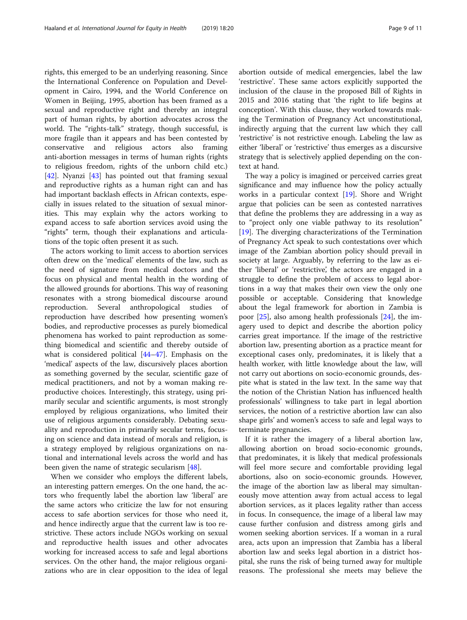rights, this emerged to be an underlying reasoning. Since the International Conference on Population and Development in Cairo, 1994, and the World Conference on Women in Beijing, 1995, abortion has been framed as a sexual and reproductive right and thereby an integral part of human rights, by abortion advocates across the world. The "rights-talk" strategy, though successful, is more fragile than it appears and has been contested by conservative and religious actors also framing anti-abortion messages in terms of human rights (rights to religious freedom, rights of the unborn child etc.) [[42\]](#page-10-0). Nyanzi [[43](#page-10-0)] has pointed out that framing sexual and reproductive rights as a human right can and has had important backlash effects in African contexts, especially in issues related to the situation of sexual minorities. This may explain why the actors working to expand access to safe abortion services avoid using the "rights" term, though their explanations and articulations of the topic often present it as such.

The actors working to limit access to abortion services often drew on the 'medical' elements of the law, such as the need of signature from medical doctors and the focus on physical and mental health in the wording of the allowed grounds for abortions. This way of reasoning resonates with a strong biomedical discourse around reproduction. Several anthropological studies of reproduction have described how presenting women's bodies, and reproductive processes as purely biomedical phenomena has worked to paint reproduction as something biomedical and scientific and thereby outside of what is considered political [\[44](#page-10-0)–[47](#page-10-0)]. Emphasis on the 'medical' aspects of the law, discursively places abortion as something governed by the secular, scientific gaze of medical practitioners, and not by a woman making reproductive choices. Interestingly, this strategy, using primarily secular and scientific arguments, is most strongly employed by religious organizations, who limited their use of religious arguments considerably. Debating sexuality and reproduction in primarily secular terms, focusing on science and data instead of morals and religion, is a strategy employed by religious organizations on national and international levels across the world and has been given the name of strategic secularism [\[48\]](#page-10-0).

When we consider who employs the different labels, an interesting pattern emerges. On the one hand, the actors who frequently label the abortion law 'liberal' are the same actors who criticize the law for not ensuring access to safe abortion services for those who need it, and hence indirectly argue that the current law is too restrictive. These actors include NGOs working on sexual and reproductive health issues and other advocates working for increased access to safe and legal abortions services. On the other hand, the major religious organizations who are in clear opposition to the idea of legal abortion outside of medical emergencies, label the law 'restrictive'. These same actors explicitly supported the inclusion of the clause in the proposed Bill of Rights in 2015 and 2016 stating that 'the right to life begins at conception'. With this clause, they worked towards making the Termination of Pregnancy Act unconstitutional, indirectly arguing that the current law which they call 'restrictive' is not restrictive enough. Labeling the law as either 'liberal' or 'restrictive' thus emerges as a discursive strategy that is selectively applied depending on the context at hand.

The way a policy is imagined or perceived carries great significance and may influence how the policy actually works in a particular context [\[19](#page-10-0)]. Shore and Wright argue that policies can be seen as contested narratives that define the problems they are addressing in a way as to "project only one viable pathway to its resolution" [[19\]](#page-10-0). The diverging characterizations of the Termination of Pregnancy Act speak to such contestations over which image of the Zambian abortion policy should prevail in society at large. Arguably, by referring to the law as either 'liberal' or 'restrictive', the actors are engaged in a struggle to define the problem of access to legal abortions in a way that makes their own view the only one possible or acceptable. Considering that knowledge about the legal framework for abortion in Zambia is poor [[25](#page-10-0)], also among health professionals [[24\]](#page-10-0), the imagery used to depict and describe the abortion policy carries great importance. If the image of the restrictive abortion law, presenting abortion as a practice meant for exceptional cases only, predominates, it is likely that a health worker, with little knowledge about the law, will not carry out abortions on socio-economic grounds, despite what is stated in the law text. In the same way that the notion of the Christian Nation has influenced health professionals' willingness to take part in legal abortion services, the notion of a restrictive abortion law can also shape girls' and women's access to safe and legal ways to terminate pregnancies.

If it is rather the imagery of a liberal abortion law, allowing abortion on broad socio-economic grounds, that predominates, it is likely that medical professionals will feel more secure and comfortable providing legal abortions, also on socio-economic grounds. However, the image of the abortion law as liberal may simultaneously move attention away from actual access to legal abortion services, as it places legality rather than access in focus. In consequence, the image of a liberal law may cause further confusion and distress among girls and women seeking abortion services. If a woman in a rural area, acts upon an impression that Zambia has a liberal abortion law and seeks legal abortion in a district hospital, she runs the risk of being turned away for multiple reasons. The professional she meets may believe the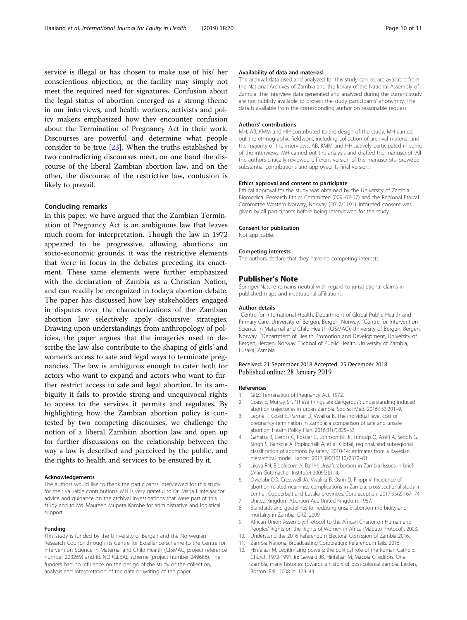<span id="page-9-0"></span>service is illegal or has chosen to make use of his/ her conscientious objection, or the facility may simply not meet the required need for signatures. Confusion about the legal status of abortion emerged as a strong theme in our interviews, and health workers, activists and policy makers emphasized how they encounter confusion about the Termination of Pregnancy Act in their work. Discourses are powerful and determine what people consider to be true [\[23\]](#page-10-0). When the truths established by two contradicting discourses meet, on one hand the discourse of the liberal Zambian abortion law, and on the other, the discourse of the restrictive law, confusion is likely to prevail.

#### Concluding remarks

In this paper, we have argued that the Zambian Termination of Pregnancy Act is an ambiguous law that leaves much room for interpretation. Though the law in 1972 appeared to be progressive, allowing abortions on socio-economic grounds, it was the restrictive elements that were in focus in the debates preceding its enactment. These same elements were further emphasized with the declaration of Zambia as a Christian Nation, and can readily be recognized in today's abortion debate. The paper has discussed how key stakeholders engaged in disputes over the characterizations of the Zambian abortion law selectively apply discursive strategies. Drawing upon understandings from anthropology of policies, the paper argues that the imageries used to describe the law also contribute to the shaping of girls' and women's access to safe and legal ways to terminate pregnancies. The law is ambiguous enough to cater both for actors who want to expand and actors who want to further restrict access to safe and legal abortion. In its ambiguity it fails to provide strong and unequivocal rights to access to the services it permits and regulates. By highlighting how the Zambian abortion policy is contested by two competing discourses, we challenge the notion of a liberal Zambian abortion law and open up for further discussions on the relationship between the way a law is described and perceived by the public, and the rights to health and services to be ensured by it.

#### Acknowledgements

The authors would like to thank the participants interviewed for this study for their valuable contributions. MH is very grateful to Dr. Marja Hinfelaar for advice and guidance on the archival investigations that were part of this study and to Ms. Maureen Mupeta Kombe for administrative and logistical support.

#### Funding

This study is funded by the University of Bergen and the Norwegian Research Council through its Centre for Excellence scheme to the Centre for Intervention Science in Maternal and Child Health (CISMAC, project reference number 223269) and its NORGLBAL scheme (project number 249686). The funders had no influence on the design of the study or the collection, analysis and interpretation of the data or writing of the paper.

The archival data used and analyzed for this study can be are available from the National Archives of Zambia and the library of the National Assembly of Zambia. The interview data generated and analyzed during the current study are not publicly available to protect the study participants' anonymity. The data is available from the corresponding author on reasonable request.

#### Authors' contributions

MH, AB, KMM and HH contributed to the design of the study. MH carried out the ethnographic fieldwork, including collection of archival material and the majority of the interviews. AB, KMM and HH actively participated in some of the interviews. MH carried out the analysis and drafted the manuscript. All the authors critically reviewed different version of the manuscripts, provided substantial contributions and approved its final version.

#### Ethics approval and consent to participate

Ethical approval for the study was obtained by the University of Zambia Biomedical Research Ethics Committee (009–07-17) and the Regional Ethical Committee Western Norway, Norway (2017/1191). Informed consent was given by all participants before being interviewed for the study.

#### Consent for publication

Not applicable.

#### Competing interests

The authors declare that they have no competing interests.

#### Publisher's Note

Springer Nature remains neutral with regard to jurisdictional claims in published maps and institutional affiliations.

#### Author details

<sup>1</sup> Centre for international Health, Department of Global Public Health and Primary Care, University of Bergen, Bergen, Norway. <sup>2</sup>Centre for Intervention Science in Maternal and Child Health (CISMAC), University of Bergen, Bergen, Norway. <sup>3</sup>Department of Health Promotion and Development, University of Bergen, Bergen, Norway. <sup>4</sup>School of Public Health, University of Zambia, Lusaka, Zambia.

#### Received: 21 September 2018 Accepted: 25 December 2018 Published online: 28 January 2019

#### References

- 1. GRZ: Termination of Pregnancy Act. 1972.
- 2. Coast E, Murray SF. "These things are dangerous": understanding induced abortion trajectories in urban Zambia. Soc Sci Med. 2016;153:201–9.
- 3. Leone T, Coast E, Parmar D, Vwalika B. The individual level cost of pregnancy termination in Zambia: a comparison of safe and unsafe abortion. Health Policy Plan. 2016;31(7):825–33.
- 4. Ganatra B, Gerdts C, Rossier C, Johnson BR Jr, Tuncalp O, Assifi A, Sedgh G, Singh S, Bankole A, Popinchalk A, et al. Global, regional, and subregional classification of abortions by safety, 2010-14: estimates from a Bayesian hierarchical model. Lancet. 2017;390(10110):2372–81.
- 5. Likwa RN, Biddlecom A, Ball H: Unsafe abortion in Zambia. Issues in brief (Alan Guttmacher Institute) 2009(3):1–4.
- 6. Owolabi OO, Cresswell JA, Vwalika B, Osrin D, Filippi V. Incidence of abortion-related near-miss complications in Zambia: cross-sectional study in central, Copperbelt and Lusaka provinces. Contraception. 2017;95(2):167–74. 7. United Kingdom Abortion Act. United Kingdom. 1967.
- 8. Standards and guidelines for reducing unsafe abortion morbidity and mortality in Zambia. GRZ. 2009.
- 9. African Union Assembly: Protocol to the African Charter on Human and Peoples' Rights on the Rights of Women in Africa (Maputo Protocol). 2003.
- 10. Understand the 2016 Referendum Electoral Comission of Zambia 2016.
- 11. Zambia National Broadcasting Corporation: Referendum fails. 2016.
- 12. Hinfelaar M. Legitimizing powers: the political role of the Roman Catholic Church 1972-1991. In: Gewald JB, Hinfelaar M, Macola G, editors. One Zambia, many histories: towards a history of post-colonial Zambia. Leiden, Boston: Brill; 2008. p. 129–43.